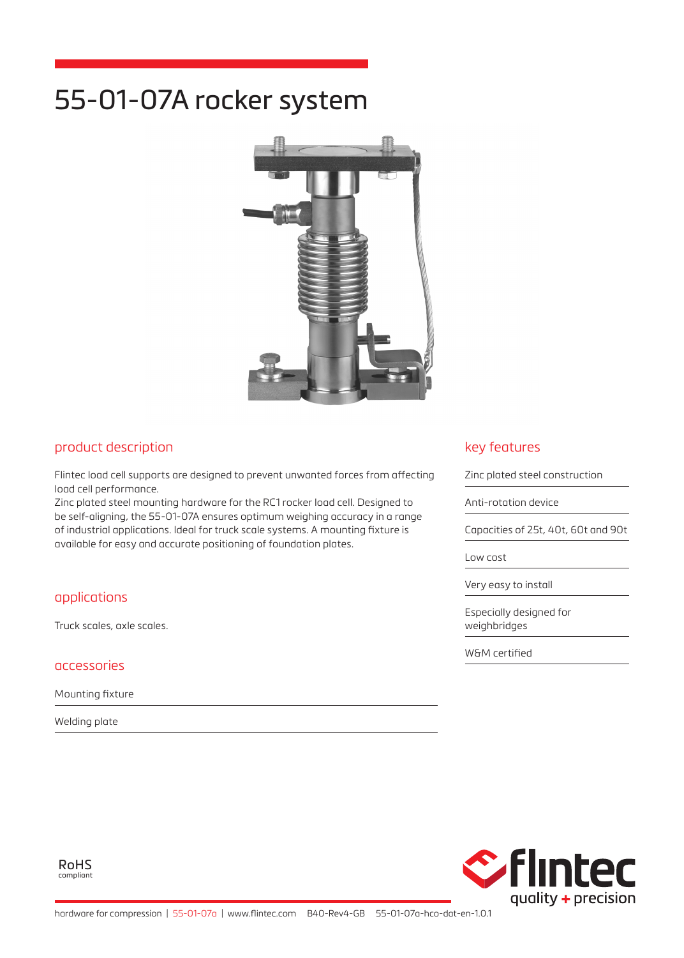# 55-01-07A rocker system



### product description

Flintec load cell supports are designed to prevent unwanted forces from affecting load cell performance.

Zinc plated steel mounting hardware for the RC1 rocker load cell. Designed to be self-aligning, the 55-01-07A ensures optimum weighing accuracy in a range of industrial applications. Ideal for truck scale systems. A mounting fixture is available for easy and accurate positioning of foundation plates.

## applications

Truck scales, axle scales.

#### accessories

Mounting fixture

Welding plate

## key features

Zinc plated steel construction

Anti-rotation device

Capacities of 25t, 40t, 60t and 90t

Low cost

Very easy to install

Especially designed for weighbridges

W&M certified